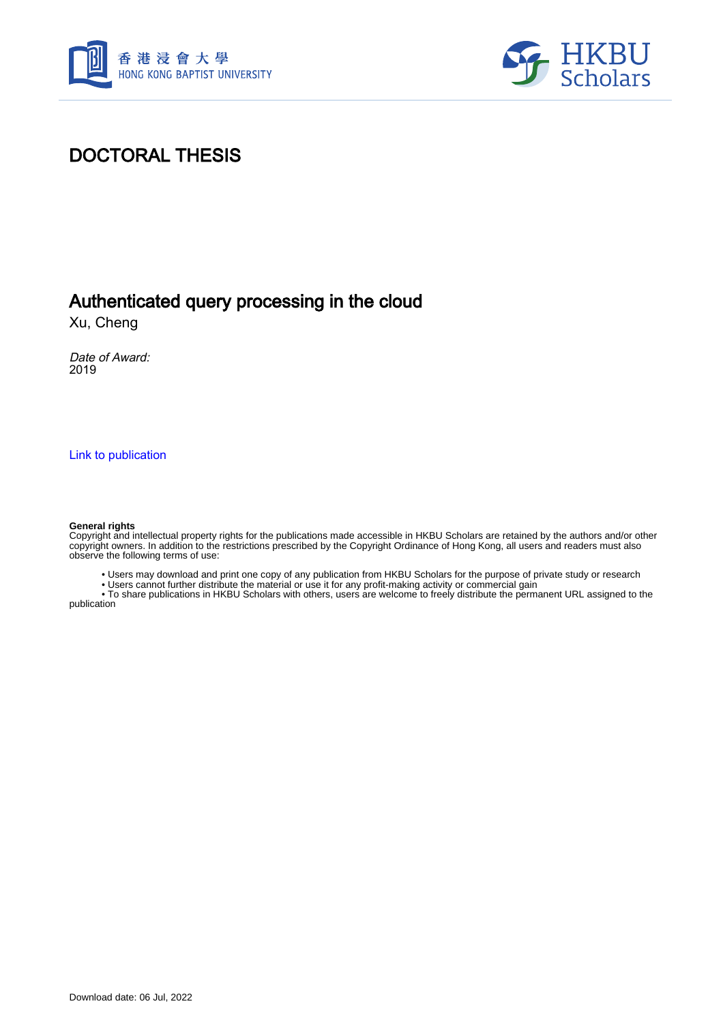



## DOCTORAL THESIS

### Authenticated query processing in the cloud

Xu, Cheng

Date of Award: 2019

[Link to publication](https://scholars.hkbu.edu.hk/en/studentTheses/f38f72b3-2461-48d7-9009-96401d006d20)

#### **General rights**

Copyright and intellectual property rights for the publications made accessible in HKBU Scholars are retained by the authors and/or other copyright owners. In addition to the restrictions prescribed by the Copyright Ordinance of Hong Kong, all users and readers must also observe the following terms of use:

• Users may download and print one copy of any publication from HKBU Scholars for the purpose of private study or research

• Users cannot further distribute the material or use it for any profit-making activity or commercial gain

 • To share publications in HKBU Scholars with others, users are welcome to freely distribute the permanent URL assigned to the publication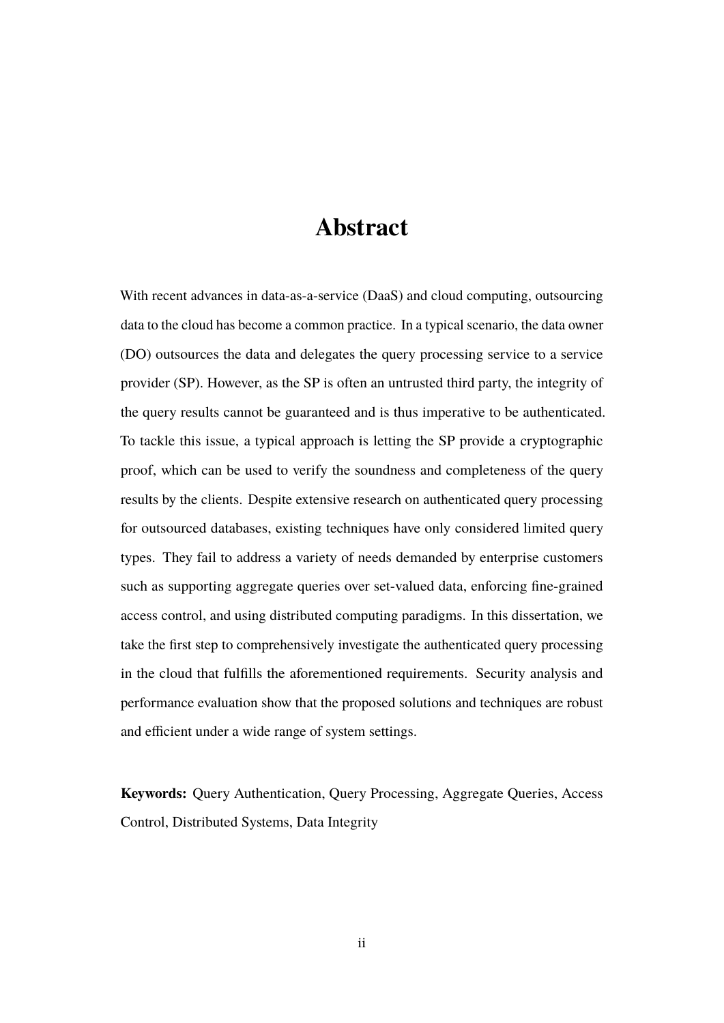# **Abstract**

<span id="page-1-0"></span>With recent advances in data-as-a-service (DaaS) and cloud computing, outsourcing data to the cloud has become a common practice. In a typical scenario, the data owner (DO) outsources the data and delegates the query processing service to a service provider (SP). However, as the SP is often an untrusted third party, the integrity of the query results cannot be guaranteed and is thus imperative to be authenticated. To tackle this issue, a typical approach is letting the SP provide a cryptographic proof, which can be used to verify the soundness and completeness of the query results by the clients. Despite extensive research on authenticated query processing for outsourced databases, existing techniques have only considered limited query types. They fail to address a variety of needs demanded by enterprise customers such as supporting aggregate queries over set-valued data, enforcing fine-grained access control, and using distributed computing paradigms. In this dissertation, we take the first step to comprehensively investigate the authenticated query processing in the cloud that fulfills the aforementioned requirements. Security analysis and performance evaluation show that the proposed solutions and techniques are robust and efficient under a wide range of system settings.

**Keywords:** Query Authentication, Query Processing, Aggregate Queries, Access Control, Distributed Systems, Data Integrity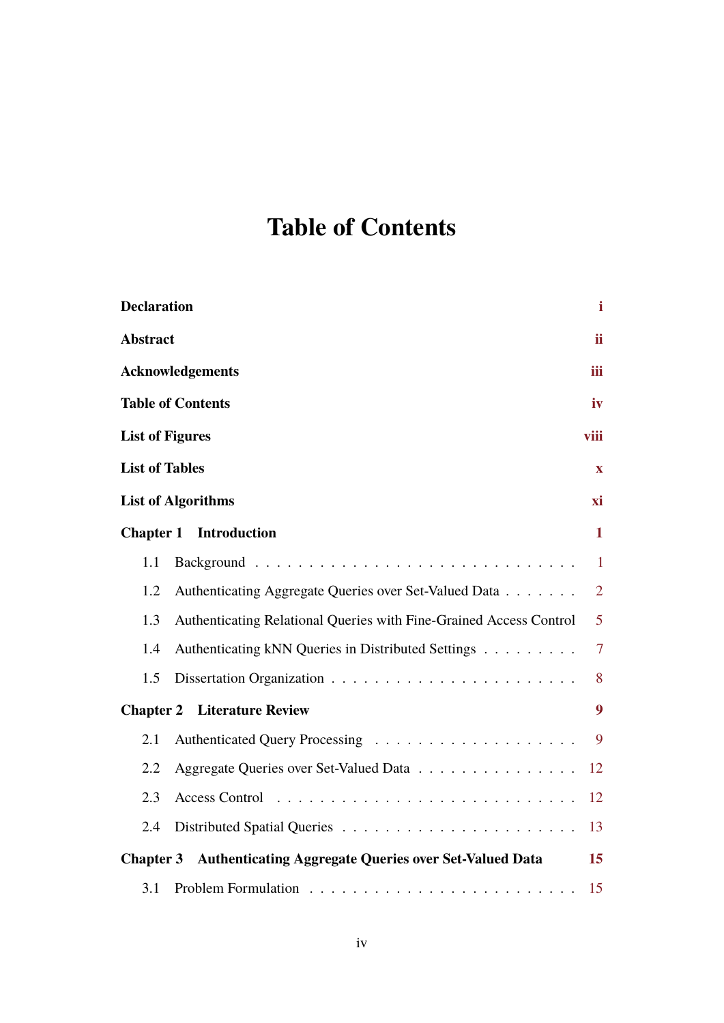# <span id="page-2-0"></span>**Table of Contents**

| <b>Declaration</b>                                                        | i              |  |  |  |
|---------------------------------------------------------------------------|----------------|--|--|--|
| <b>Abstract</b>                                                           | ii.            |  |  |  |
| <b>Acknowledgements</b>                                                   |                |  |  |  |
| <b>Table of Contents</b>                                                  | iv             |  |  |  |
| <b>List of Figures</b>                                                    | viii           |  |  |  |
| <b>List of Tables</b>                                                     | $\mathbf{X}$   |  |  |  |
| <b>List of Algorithms</b>                                                 | хi             |  |  |  |
| <b>Introduction</b><br><b>Chapter 1</b>                                   | $\mathbf{1}$   |  |  |  |
| 1.1                                                                       | $\mathbf{1}$   |  |  |  |
| 1.2<br>Authenticating Aggregate Queries over Set-Valued Data              | $\overline{2}$ |  |  |  |
| 1.3<br>Authenticating Relational Queries with Fine-Grained Access Control | $\overline{5}$ |  |  |  |
| Authenticating kNN Queries in Distributed Settings<br>1.4                 | $\overline{7}$ |  |  |  |
| 1.5                                                                       | 8              |  |  |  |
| 9<br><b>Chapter 2</b> Literature Review                                   |                |  |  |  |
| 2.1                                                                       | 9              |  |  |  |
| 2.2<br>Aggregate Queries over Set-Valued Data                             | 12             |  |  |  |
| 2.3                                                                       | 12             |  |  |  |
| 2.4                                                                       | 13             |  |  |  |
| <b>Chapter 3</b> Authenticating Aggregate Queries over Set-Valued Data    | 15             |  |  |  |
| 3.1                                                                       | 15             |  |  |  |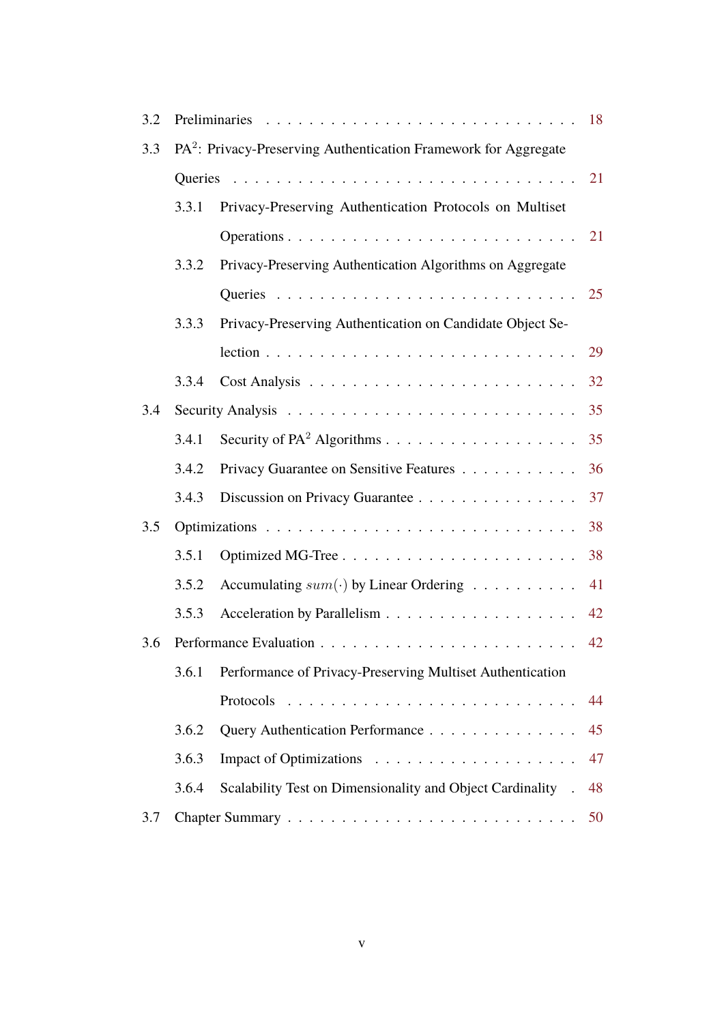| 3.2   | 18                                                                          |                                                             |    |  |  |
|-------|-----------------------------------------------------------------------------|-------------------------------------------------------------|----|--|--|
| 3.3   | PA <sup>2</sup> : Privacy-Preserving Authentication Framework for Aggregate |                                                             |    |  |  |
|       |                                                                             |                                                             |    |  |  |
|       | 3.3.1                                                                       | Privacy-Preserving Authentication Protocols on Multiset     |    |  |  |
|       |                                                                             |                                                             | 21 |  |  |
|       | 3.3.2                                                                       | Privacy-Preserving Authentication Algorithms on Aggregate   |    |  |  |
|       |                                                                             |                                                             | 25 |  |  |
|       | 3.3.3                                                                       | Privacy-Preserving Authentication on Candidate Object Se-   |    |  |  |
|       |                                                                             |                                                             | 29 |  |  |
|       | 3.3.4                                                                       |                                                             | 32 |  |  |
| 3.4   | 35                                                                          |                                                             |    |  |  |
|       | 3.4.1                                                                       |                                                             | 35 |  |  |
|       | 3.4.2                                                                       | Privacy Guarantee on Sensitive Features                     | 36 |  |  |
|       | 3.4.3                                                                       | Discussion on Privacy Guarantee                             | 37 |  |  |
| 3.5   |                                                                             |                                                             | 38 |  |  |
| 3.5.1 |                                                                             |                                                             | 38 |  |  |
|       | 3.5.2                                                                       | Accumulating $sum(\cdot)$ by Linear Ordering                | 41 |  |  |
|       | 3.5.3                                                                       |                                                             | 42 |  |  |
| 3.6   | 42                                                                          |                                                             |    |  |  |
|       | 3.6.1                                                                       | Performance of Privacy-Preserving Multiset Authentication   |    |  |  |
|       |                                                                             |                                                             | 44 |  |  |
|       | 3.6.2                                                                       | Query Authentication Performance                            | 45 |  |  |
|       | 3.6.3                                                                       |                                                             | 47 |  |  |
|       | 3.6.4                                                                       | Scalability Test on Dimensionality and Object Cardinality . | 48 |  |  |
| 3.7   |                                                                             |                                                             |    |  |  |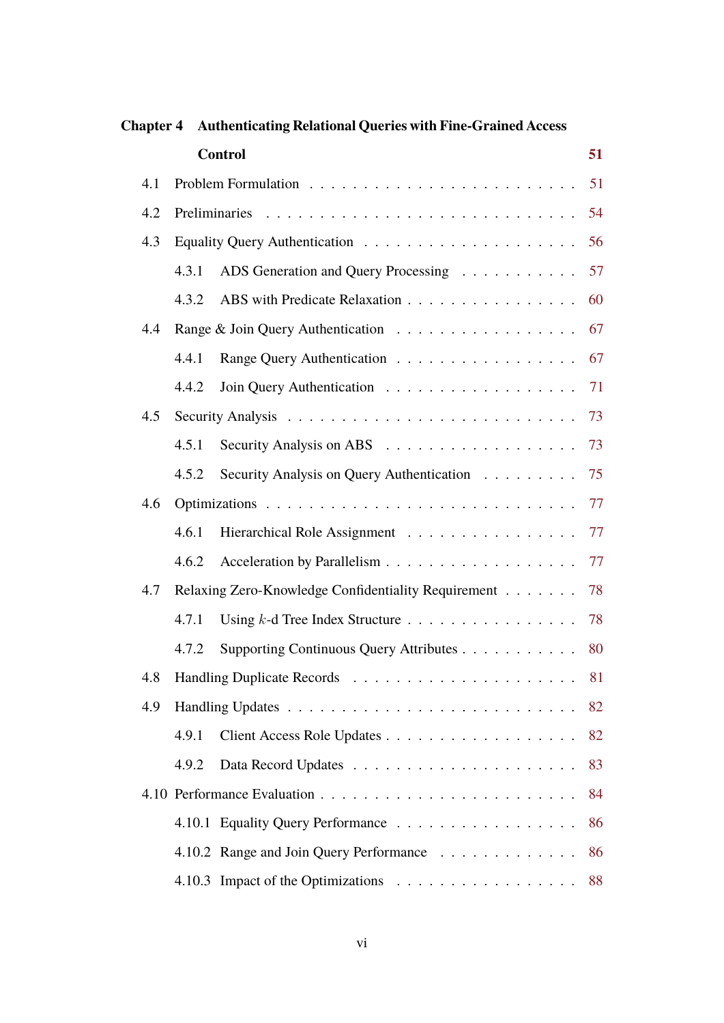|     |                                                     | <b>Control</b>                            | 51 |  |
|-----|-----------------------------------------------------|-------------------------------------------|----|--|
| 4.1 |                                                     |                                           | 51 |  |
| 4.2 |                                                     |                                           |    |  |
| 4.3 |                                                     |                                           |    |  |
|     | 4.3.1                                               | ADS Generation and Query Processing       | 57 |  |
|     | 4.3.2                                               | ABS with Predicate Relaxation             | 60 |  |
| 4.4 |                                                     |                                           | 67 |  |
|     | 4.4.1                                               | Range Query Authentication                | 67 |  |
|     | 4.4.2                                               |                                           | 71 |  |
| 4.5 |                                                     |                                           | 73 |  |
|     | 4.5.1                                               |                                           | 73 |  |
|     | 4.5.2                                               | Security Analysis on Query Authentication | 75 |  |
| 4.6 |                                                     |                                           | 77 |  |
|     | 4.6.1                                               | Hierarchical Role Assignment              | 77 |  |
|     | 4.6.2                                               |                                           | 77 |  |
| 4.7 | Relaxing Zero-Knowledge Confidentiality Requirement |                                           |    |  |
|     | 4.7.1                                               |                                           | 78 |  |
|     | 4.7.2                                               | Supporting Continuous Query Attributes    | 80 |  |
|     |                                                     |                                           |    |  |
| 4.9 |                                                     |                                           |    |  |
|     | 4.9.1                                               |                                           | 82 |  |
|     | 4.9.2                                               |                                           | 83 |  |
|     |                                                     |                                           |    |  |
|     |                                                     | 4.10.1 Equality Query Performance         | 86 |  |
|     |                                                     | 4.10.2 Range and Join Query Performance   | 86 |  |
|     |                                                     |                                           | 88 |  |

#### **Chapter 4 Authenticating Relational Queries with Fine-Grained Access**